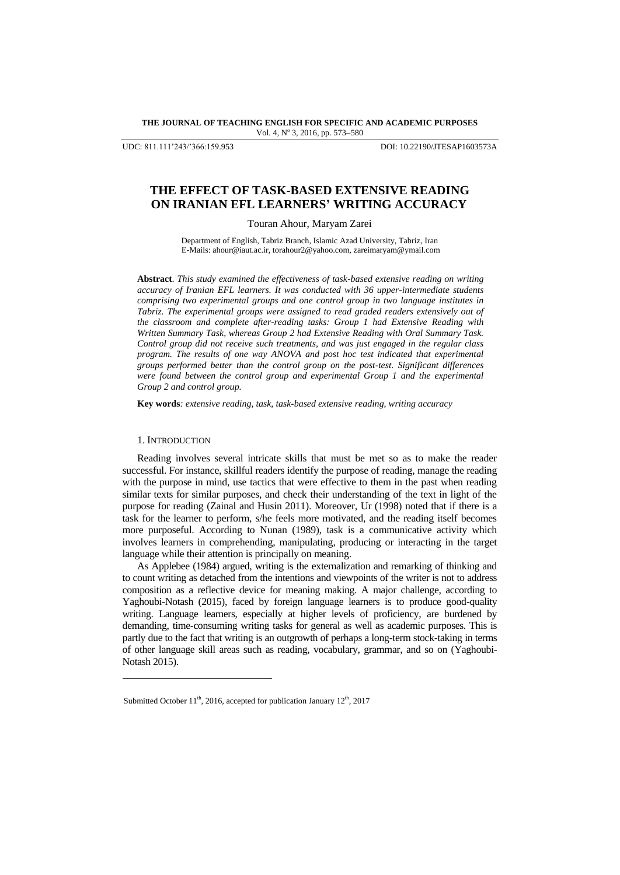**THE JOURNAL OF TEACHING ENGLISH FOR SPECIFIC AND ACADEMIC PURPOSES** Vol. 4, Nº 3, 2016, pp. 573-580

UDC: 811.111'243/'366:159.953 DOI: 10.22190/JTESAP1603573A

# **THE EFFECT OF TASK-BASED EXTENSIVE READING ON IRANIAN EFL LEARNERS' WRITING ACCURACY**

Touran Ahour, Maryam Zarei

Department of English, Tabriz Branch, Islamic Azad University, Tabriz, Iran E-Mails[: ahour@iaut.ac.ir,](mailto:ahour@iaut.ac.ir) torahour2@yahoo.com, [zareimaryam@ymail.com](mailto:zareimaryam@ymail.com)

**Abstract**. *This study examined the effectiveness of task-based extensive reading on writing accuracy of Iranian EFL learners. It was conducted with 36 upper-intermediate students comprising two experimental groups and one control group in two language institutes in Tabriz. The experimental groups were assigned to read graded readers extensively out of the classroom and complete after-reading tasks: Group 1 had Extensive Reading with Written Summary Task, whereas Group 2 had Extensive Reading with Oral Summary Task. Control group did not receive such treatments, and was just engaged in the regular class program. The results of one way ANOVA and post hoc test indicated that experimental groups performed better than the control group on the post-test. Significant differences were found between the control group and experimental Group 1 and the experimental Group 2 and control group.*

**Key words***: extensive reading, task, task-based extensive reading, writing accuracy* 

# 1. INTRODUCTION

l

Reading involves several intricate skills that must be met so as to make the reader successful. For instance, skillful readers identify the purpose of reading, manage the reading with the purpose in mind, use tactics that were effective to them in the past when reading similar texts for similar purposes, and check their understanding of the text in light of the purpose for reading (Zainal and Husin 2011). Moreover, Ur (1998) noted that if there is a task for the learner to perform, s/he feels more motivated, and the reading itself becomes more purposeful. According to Nunan (1989), task is a communicative activity which involves learners in comprehending, manipulating, producing or interacting in the target language while their attention is principally on meaning.

As Applebee (1984) argued, writing is the externalization and remarking of thinking and to count writing as detached from the intentions and viewpoints of the writer is not to address composition as a reflective device for meaning making. A major challenge, according to Yaghoubi-Notash (2015), faced by foreign language learners is to produce good-quality writing. Language learners, especially at higher levels of proficiency, are burdened by demanding, time-consuming writing tasks for general as well as academic purposes. This is partly due to the fact that writing is an outgrowth of perhaps a long-term stock-taking in terms of other language skill areas such as reading, vocabulary, grammar, and so on (Yaghoubi-Notash 2015).

Submitted October  $11<sup>th</sup>$ , 2016, accepted for publication January  $12<sup>th</sup>$ , 2017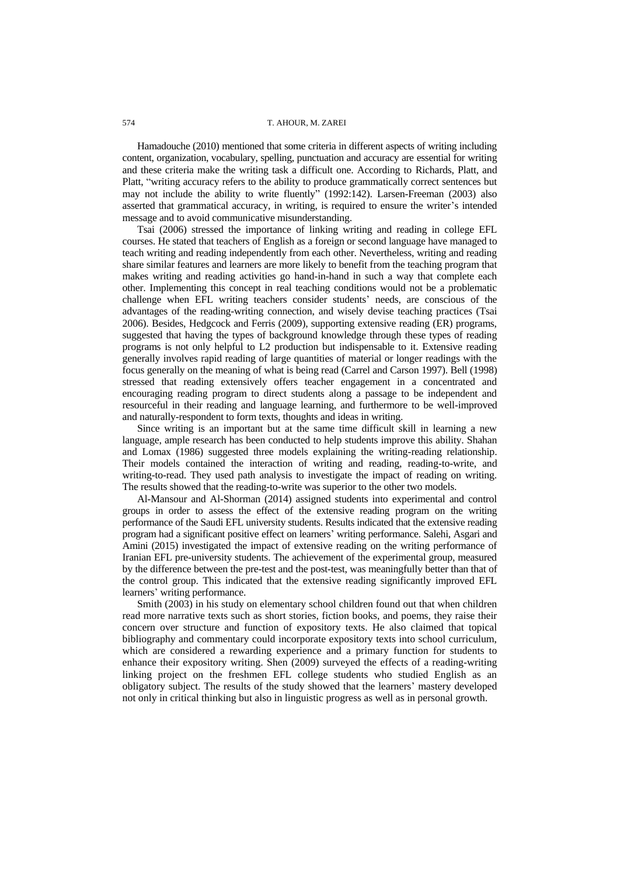## 574 T. AHOUR, M. ZAREI

Hamadouche (2010) mentioned that some criteria in different aspects of writing including content, organization, vocabulary, spelling, punctuation and accuracy are essential for writing and these criteria make the writing task a difficult one. According to Richards, Platt, and Platt, "writing accuracy refers to the ability to produce grammatically correct sentences but may not include the ability to write fluently" (1992:142). Larsen-Freeman (2003) also asserted that grammatical accuracy, in writing, is required to ensure the writer's intended message and to avoid communicative misunderstanding.

Tsai (2006) stressed the importance of linking writing and reading in college EFL courses. He stated that teachers of English as a foreign or second language have managed to teach writing and reading independently from each other. Nevertheless, writing and reading share similar features and learners are more likely to benefit from the teaching program that makes writing and reading activities go hand-in-hand in such a way that complete each other. Implementing this concept in real teaching conditions would not be a problematic challenge when EFL writing teachers consider students' needs, are conscious of the advantages of the reading-writing connection, and wisely devise teaching practices (Tsai 2006). Besides, Hedgcock and Ferris (2009), supporting extensive reading (ER) programs, suggested that having the types of background knowledge through these types of reading programs is not only helpful to L2 production but indispensable to it. Extensive reading generally involves rapid reading of large quantities of material or longer readings with the focus generally on the meaning of what is being read (Carrel and Carson 1997). Bell (1998) stressed that reading extensively offers teacher engagement in a concentrated and encouraging reading program to direct students along a passage to be independent and resourceful in their reading and language learning, and furthermore to be well-improved and naturally-respondent to form texts, thoughts and ideas in writing.

Since writing is an important but at the same time difficult skill in learning a new language, ample research has been conducted to help students improve this ability. Shahan and Lomax (1986) suggested three models explaining the writing-reading relationship. Their models contained the interaction of writing and reading, reading-to-write, and writing-to-read. They used path analysis to investigate the impact of reading on writing. The results showed that the reading-to-write was superior to the other two models.

Al-Mansour and Al-Shorman (2014) assigned students into experimental and control groups in order to assess the effect of the extensive reading program on the writing performance of the Saudi EFL university students. Results indicated that the extensive reading program had a significant positive effect on learners' writing performance. Salehi, Asgari and Amini (2015) investigated the impact of extensive reading on the writing performance of Iranian EFL pre-university students. The achievement of the experimental group, measured by the difference between the pre-test and the post-test, was meaningfully better than that of the control group. This indicated that the extensive reading significantly improved EFL learners' writing performance.

Smith (2003) in his study on elementary school children found out that when children read more narrative texts such as short stories, fiction books, and poems, they raise their concern over structure and function of expository texts. He also claimed that topical bibliography and commentary could incorporate expository texts into school curriculum, which are considered a rewarding experience and a primary function for students to enhance their expository writing. Shen (2009) surveyed the effects of a reading-writing linking project on the freshmen EFL college students who studied English as an obligatory subject. The results of the study showed that the learners' mastery developed not only in critical thinking but also in linguistic progress as well as in personal growth.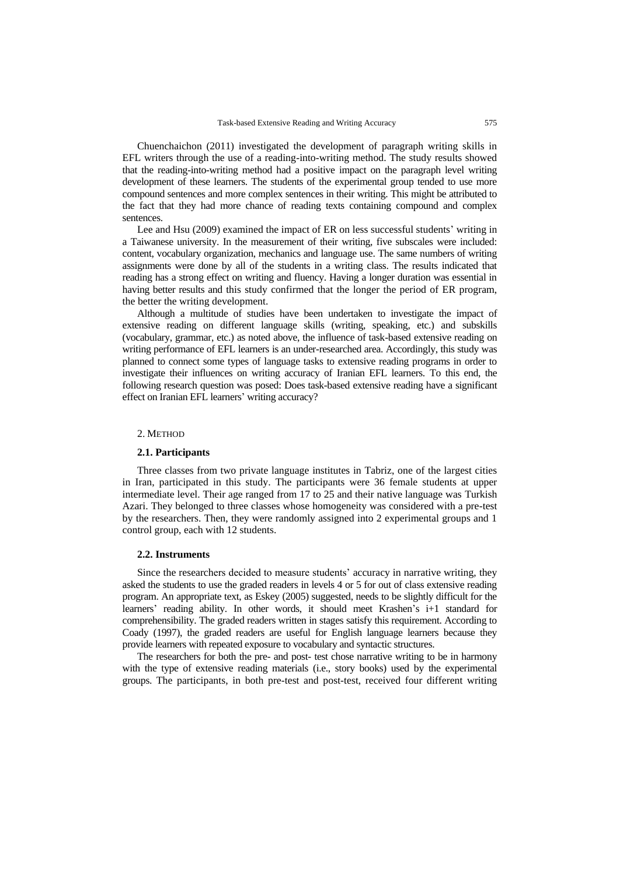Chuenchaichon (2011) investigated the development of paragraph writing skills in EFL writers through the use of a reading-into-writing method. The study results showed that the reading-into-writing method had a positive impact on the paragraph level writing development of these learners. The students of the experimental group tended to use more compound sentences and more complex sentences in their writing. This might be attributed to the fact that they had more chance of reading texts containing compound and complex sentences.

Lee and Hsu (2009) examined the impact of ER on less successful students' writing in a Taiwanese university. In the measurement of their writing, five subscales were included: content, vocabulary organization, mechanics and language use. The same numbers of writing assignments were done by all of the students in a writing class. The results indicated that reading has a strong effect on writing and fluency. Having a longer duration was essential in having better results and this study confirmed that the longer the period of ER program, the better the writing development.

Although a multitude of studies have been undertaken to investigate the impact of extensive reading on different language skills (writing, speaking, etc.) and subskills (vocabulary, grammar, etc.) as noted above, the influence of task-based extensive reading on writing performance of EFL learners is an under-researched area. Accordingly, this study was planned to connect some types of language tasks to extensive reading programs in order to investigate their influences on writing accuracy of Iranian EFL learners. To this end, the following research question was posed: Does task-based extensive reading have a significant effect on Iranian EFL learners' writing accuracy?

#### 2. METHOD

## **2.1. Participants**

Three classes from two private language institutes in Tabriz, one of the largest cities in Iran, participated in this study. The participants were 36 female students at upper intermediate level. Their age ranged from 17 to 25 and their native language was Turkish Azari. They belonged to three classes whose homogeneity was considered with a pre-test by the researchers. Then, they were randomly assigned into 2 experimental groups and 1 control group, each with 12 students.

# **2.2. Instruments**

Since the researchers decided to measure students' accuracy in narrative writing, they asked the students to use the graded readers in levels 4 or 5 for out of class extensive reading program. An appropriate text, as Eskey (2005) suggested, needs to be slightly difficult for the learners' reading ability. In other words, it should meet Krashen's i+1 standard for comprehensibility. The graded readers written in stages satisfy this requirement. According to Coady (1997), the graded readers are useful for English language learners because they provide learners with repeated exposure to vocabulary and syntactic structures.

The researchers for both the pre- and post- test chose narrative writing to be in harmony with the type of extensive reading materials (i.e., story books) used by the experimental groups. The participants, in both pre-test and post-test, received four different writing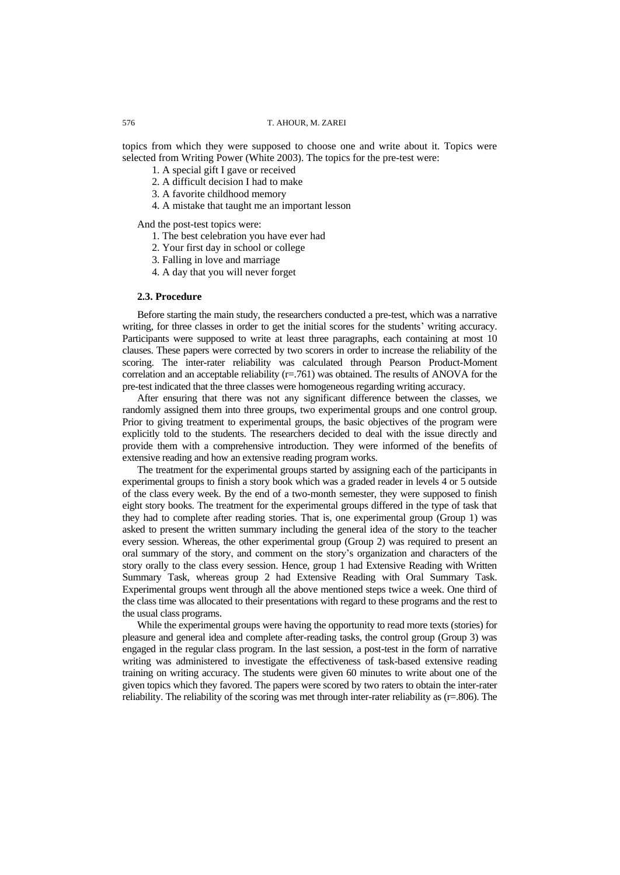# 576 T. AHOUR, M. ZAREI

topics from which they were supposed to choose one and write about it. Topics were selected from Writing Power (White 2003). The topics for the pre-test were:

- 1. A special gift I gave or received
- 2. A difficult decision I had to make
- 3. A favorite childhood memory
- 4. A mistake that taught me an important lesson

And the post-test topics were:

- 1. The best celebration you have ever had
- 2. Your first day in school or college
- 3. Falling in love and marriage
- 4. A day that you will never forget

#### **2.3. Procedure**

Before starting the main study, the researchers conducted a pre-test, which was a narrative writing, for three classes in order to get the initial scores for the students' writing accuracy. Participants were supposed to write at least three paragraphs, each containing at most 10 clauses. These papers were corrected by two scorers in order to increase the reliability of the scoring. The inter-rater reliability was calculated through Pearson Product-Moment correlation and an acceptable reliability (r=.761) was obtained. The results of ANOVA for the pre-test indicated that the three classes were homogeneous regarding writing accuracy.

After ensuring that there was not any significant difference between the classes, we randomly assigned them into three groups, two experimental groups and one control group. Prior to giving treatment to experimental groups, the basic objectives of the program were explicitly told to the students. The researchers decided to deal with the issue directly and provide them with a comprehensive introduction. They were informed of the benefits of extensive reading and how an extensive reading program works.

The treatment for the experimental groups started by assigning each of the participants in experimental groups to finish a story book which was a graded reader in levels 4 or 5 outside of the class every week. By the end of a two-month semester, they were supposed to finish eight story books. The treatment for the experimental groups differed in the type of task that they had to complete after reading stories. That is, one experimental group (Group 1) was asked to present the written summary including the general idea of the story to the teacher every session. Whereas, the other experimental group (Group 2) was required to present an oral summary of the story, and comment on the story's organization and characters of the story orally to the class every session. Hence, group 1 had Extensive Reading with Written Summary Task, whereas group 2 had Extensive Reading with Oral Summary Task. Experimental groups went through all the above mentioned steps twice a week. One third of the class time was allocated to their presentations with regard to these programs and the rest to the usual class programs.

While the experimental groups were having the opportunity to read more texts (stories) for pleasure and general idea and complete after-reading tasks, the control group (Group 3) was engaged in the regular class program. In the last session, a post-test in the form of narrative writing was administered to investigate the effectiveness of task-based extensive reading training on writing accuracy. The students were given 60 minutes to write about one of the given topics which they favored. The papers were scored by two raters to obtain the inter-rater reliability. The reliability of the scoring was met through inter-rater reliability as (r=.806). The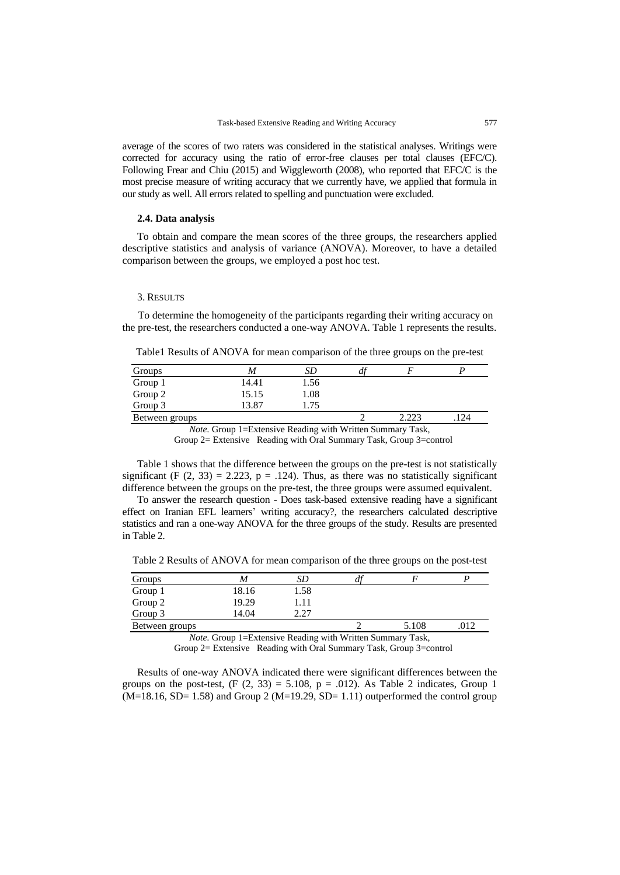average of the scores of two raters was considered in the statistical analyses. Writings were corrected for accuracy using the ratio of error-free clauses per total clauses (EFC/C). Following Frear and Chiu (2015) and Wiggleworth (2008), who reported that EFC/C is the most precise measure of writing accuracy that we currently have, we applied that formula in our study as well. All errors related to spelling and punctuation were excluded.

## **2.4. Data analysis**

To obtain and compare the mean scores of the three groups, the researchers applied descriptive statistics and analysis of variance (ANOVA). Moreover, to have a detailed comparison between the groups, we employed a post hoc test.

#### 3. RESULTS

 To determine the homogeneity of the participants regarding their writing accuracy on the pre-test, the researchers conducted a one-way ANOVA. Table 1 represents the results.

Table1 Results of ANOVA for mean comparison of the three groups on the pre-test

| Groups         |       | SD   | $\boldsymbol{a}$ |       |     |
|----------------|-------|------|------------------|-------|-----|
| Group 1        | 14.41 | 1.56 |                  |       |     |
| Group 2        | 15.15 | 1.08 |                  |       |     |
| Group 3        | 13.87 | 1.75 |                  |       |     |
| Between groups |       |      |                  | 2.223 | 124 |

*Note.* Group 1=Extensive Reading with Written Summary Task, Group 2= Extensive Reading with Oral Summary Task, Group 3=control

Table 1 shows that the difference between the groups on the pre-test is not statistically significant (F  $(2, 33) = 2.223$ , p = .124). Thus, as there was no statistically significant difference between the groups on the pre-test, the three groups were assumed equivalent.

To answer the research question - Does task-based extensive reading have a significant effect on Iranian EFL learners' writing accuracy?, the researchers calculated descriptive statistics and ran a one-way ANOVA for the three groups of the study. Results are presented in Table 2.

Table 2 Results of ANOVA for mean comparison of the three groups on the post-test

| Groups         | M     | SD   | a <sub>1</sub> |       |      |
|----------------|-------|------|----------------|-------|------|
| Group 1        | 18.16 | 1.58 |                |       |      |
| Group 2        | 19.29 | !.11 |                |       |      |
| Group 3        | 14.04 | າ າາ |                |       |      |
| Between groups |       |      |                | 5.108 | .012 |

*Note.* Group 1=Extensive Reading with Written Summary Task,

Group 2= Extensive Reading with Oral Summary Task, Group 3=control

Results of one-way ANOVA indicated there were significant differences between the groups on the post-test,  $(F (2, 33) = 5.108, p = .012)$ . As Table 2 indicates, Group 1  $(M=18.16, SD= 1.58)$  and Group 2  $(M=19.29, SD= 1.11)$  outperformed the control group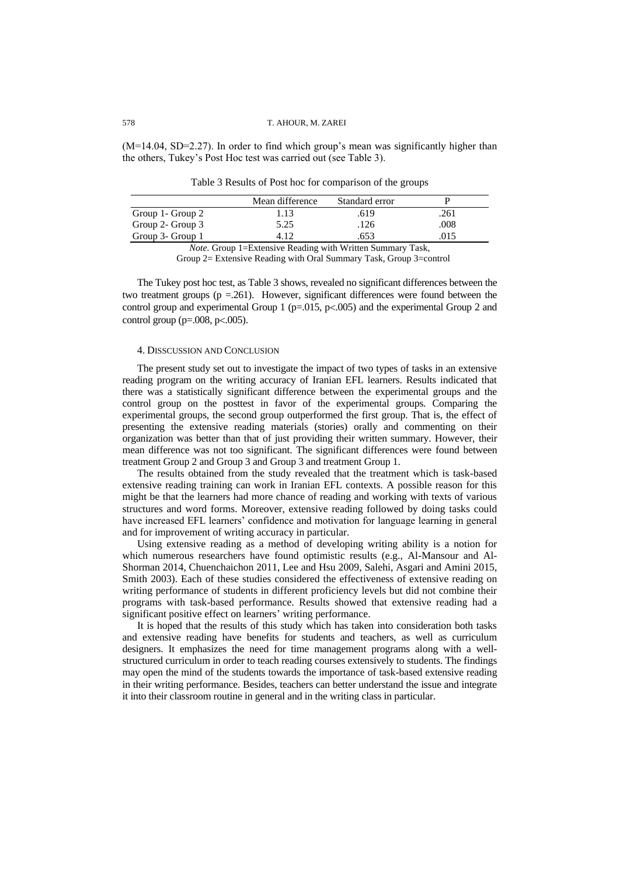## 578 T. AHOUR, M. ZAREI

(M=14.04, SD=2.27). In order to find which group's mean was significantly higher than the others, Tukey's Post Hoc test was carried out (see Table 3).

Table 3 Results of Post hoc for comparison of the groups

|                  | Mean difference | Standard error |      |
|------------------|-----------------|----------------|------|
| Group 1- Group 2 | $1.13 -$        | .619           | .261 |
| Group 2- Group 3 | 5.25            | .126           | .008 |
| Group 3- Group 1 |                 | 553            | 015  |

*Note.* Group 1=Extensive Reading with Written Summary Task,

Group 2= Extensive Reading with Oral Summary Task, Group 3=control

The Tukey post hoc test, as Table 3 shows, revealed no significant differences between the two treatment groups ( $p = 261$ ). However, significant differences were found between the control group and experimental Group 1 ( $p=.015$ ,  $p<.005$ ) and the experimental Group 2 and control group ( $p=.008$ ,  $p<.005$ ).

# 4. DISSCUSSION AND CONCLUSION

The present study set out to investigate the impact of two types of tasks in an extensive reading program on the writing accuracy of Iranian EFL learners. Results indicated that there was a statistically significant difference between the experimental groups and the control group on the posttest in favor of the experimental groups. Comparing the experimental groups, the second group outperformed the first group. That is, the effect of presenting the extensive reading materials (stories) orally and commenting on their organization was better than that of just providing their written summary. However, their mean difference was not too significant. The significant differences were found between treatment Group 2 and Group 3 and Group 3 and treatment Group 1.

The results obtained from the study revealed that the treatment which is task-based extensive reading training can work in Iranian EFL contexts. A possible reason for this might be that the learners had more chance of reading and working with texts of various structures and word forms. Moreover, extensive reading followed by doing tasks could have increased EFL learners' confidence and motivation for language learning in general and for improvement of writing accuracy in particular.

Using extensive reading as a method of developing writing ability is a notion for which numerous researchers have found optimistic results (e.g., Al-Mansour and Al-Shorman 2014, Chuenchaichon 2011, Lee and Hsu 2009, Salehi, Asgari and Amini 2015, Smith 2003). Each of these studies considered the effectiveness of extensive reading on writing performance of students in different proficiency levels but did not combine their programs with task-based performance. Results showed that extensive reading had a significant positive effect on learners' writing performance.

It is hoped that the results of this study which has taken into consideration both tasks and extensive reading have benefits for students and teachers, as well as curriculum designers. It emphasizes the need for time management programs along with a wellstructured curriculum in order to teach reading courses extensively to students. The findings may open the mind of the students towards the importance of task-based extensive reading in their writing performance. Besides, teachers can better understand the issue and integrate it into their classroom routine in general and in the writing class in particular.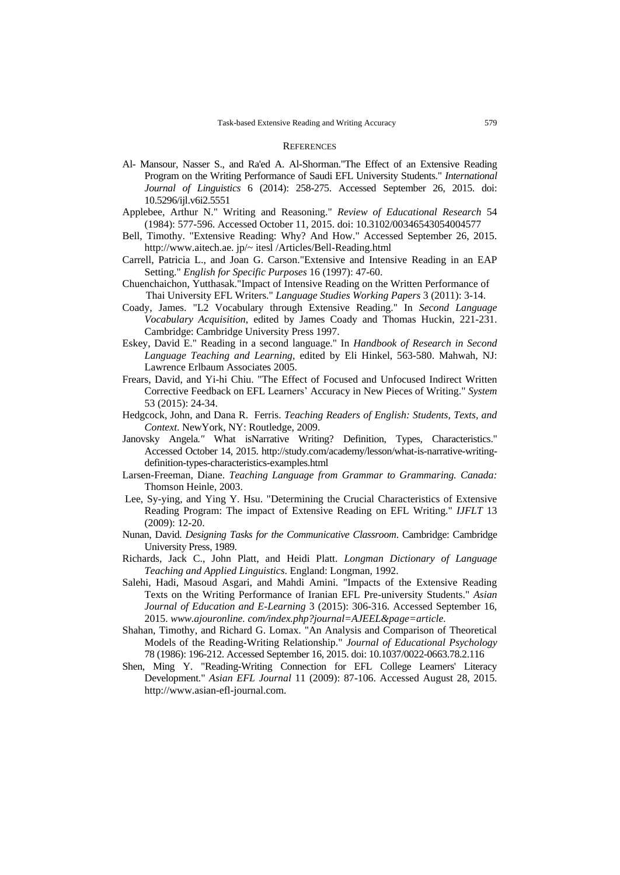#### **REFERENCES**

- Al- Mansour, Nasser S., and Ra'ed A. Al-Shorman."The Effect of an Extensive Reading Program on the Writing Performance of Saudi EFL University Students." *International Journal of Linguistics* 6 (2014): 258-275. Accessed September 26, 2015. doi: 10.5296/ijl.v6i2.5551
- Applebee, Arthur N." Writing and Reasoning." *Review of Educational Research* 54 (1984): 577-596. Accessed October 11, 2015. doi: 10.3102/00346543054004577
- Bell, Timothy. "Extensive Reading: Why? And How." Accessed September 26, 2015. http://www.aitech.ae. jp/~ itesl /Articles/Bell-Reading.html
- Carrell, Patricia L., and Joan G. Carson."Extensive and Intensive Reading in an EAP Setting." *English for Specific Purposes* 16 (1997): 47-60.
- Chuenchaichon, Yutthasak."Impact of Intensive Reading on the Written Performance of Thai University EFL Writers." *Language Studies Working Papers* 3 (2011): 3-14.
- Coady, James. "L2 Vocabulary through Extensive Reading." In *Second Language Vocabulary Acquisition*, edited by James Coady and Thomas Huckin, 221-231. Cambridge: Cambridge University Press 1997.
- Eskey, David E." Reading in a second language." In *Handbook of Research in Second Language Teaching and Learning*, edited by Eli Hinkel, 563-580. Mahwah, NJ: Lawrence Erlbaum Associates 2005.
- Frears, David, and Yi-hi Chiu. "The Effect of Focused and Unfocused Indirect Written Corrective Feedback on EFL Learners' Accuracy in New Pieces of Writing." *System* 53 (2015): 24-34.
- Hedgcock, John, and Dana R. Ferris. *Teaching Readers of English: Students, Texts, and Context*. NewYork, NY: Routledge, 2009.
- Janovsky Angela*."* What isNarrative Writing? [Definition, Types, Characteristics."](http://www.google.com/url?sa=t&rct=j&q=&esrc=s&source=web&cd=1&ved=0CB0QFjAAahUKEwinjM3wyNvIAhVFuxQKHV-qBvo&url=http%3A%2F%2Fstudy.com%2Facademy%2Flesson%2Fwhat-is-narrative-writing-definition-types-characteristics-examples.html&usg=AFQjCNFv2SfIOYcwrrxlMRYCKedCWfrP9A&cad=rja) Accessed October 14, 2015. [http://study.com/academy/lesson/what-is-narrative-writing](http://study.com/academy/lesson/what-is-narrative-writing-definition-types-)[definition-types-c](http://study.com/academy/lesson/what-is-narrative-writing-definition-types-)haracteristics-examples.html
- Larsen-Freeman, Diane. *Teaching Language from Grammar to Grammaring. Canada:*  Thomson Heinle, 2003.
- Lee, Sy-ying, and Ying Y. Hsu. "Determining the Crucial Characteristics of Extensive Reading Program: The impact of Extensive Reading on EFL Writing." *IJFLT* 13 (2009): 12-20.
- Nunan, David. *Designing Tasks for the Communicative Classroom*. Cambridge: Cambridge University Press, 1989.
- Richards, Jack C., John Platt, and Heidi Platt. *Longman Dictionary of Language Teaching and Applied Linguistics*. England: Longman, 1992.
- Salehi, Hadi, Masoud Asgari, and Mahdi Amini. "Impacts of the Extensive Reading Texts on the Writing Performance of Iranian EFL Pre-university Students." *Asian Journal of Education and E-Learning* 3 (2015): 306-316. Accessed September 16, 2015. *www.ajouronline. com/index.php?journal=AJEEL&page=article.*
- Shahan, Timothy, and Richard G. Lomax. "An Analysis and Comparison of Theoretical Models of the Reading-Writing Relationship." *Journal of Educational Psychology* 78 (1986): 196-212. Accessed September 16, 2015. doi: 10.1037/0022-0663.78.2.116
- Shen, Ming Y. "Reading-Writing Connection for EFL College Learners' Literacy Development." *Asian EFL Journal* 11 (2009): 87-106. Accessed August 28, 2015. http://www.asian-efl-journal.com.